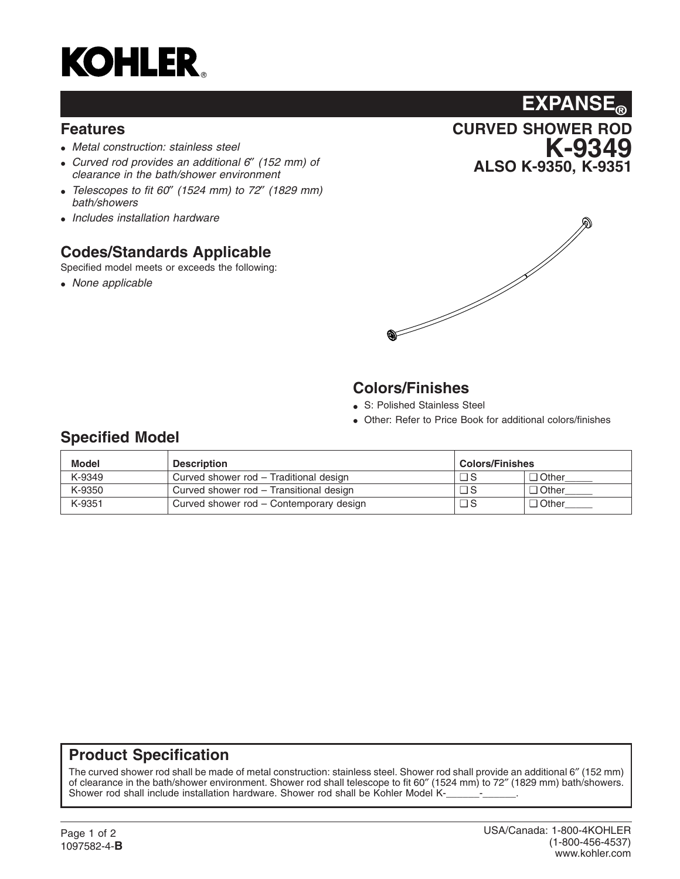

#### **Features**

- *Metal construction: stainless steel*
- *Curved rod provides an additional 6*″ *(152 mm) of clearance in the bath/shower environment*
- *Telescopes to fit 60*″ *(1524 mm) to 72*″ *(1829 mm) bath/showers*
- *Includes installation hardware*

### **Codes/Standards Applicable**

Specified model meets or exceeds the following:

• *None applicable*





# **Colors/Finishes**

- S: Polished Stainless Steel
- Other: Refer to Price Book for additional colors/finishes

## **Specified Model**

| Model  | <b>Description</b>                      | <b>Colors/Finishes</b> |              |
|--------|-----------------------------------------|------------------------|--------------|
| K-9349 | Curved shower rod - Traditional design  | □ S                    | $\Box$ Other |
| K-9350 | Curved shower rod - Transitional design | $\Box$ S               | $\Box$ Other |
| K-9351 | Curved shower rod - Contemporary design | $\Box$ S               | $\Box$ Other |

#### **Product Specification**

The curved shower rod shall be made of metal construction: stainless steel. Shower rod shall provide an additional 6″ (152 mm) of clearance in the bath/shower environment. Shower rod shall telescope to fit 60″ (1524 mm) to 72″ (1829 mm) bath/showers. Shower rod shall include installation hardware. Shower rod shall be Kohler Model K-